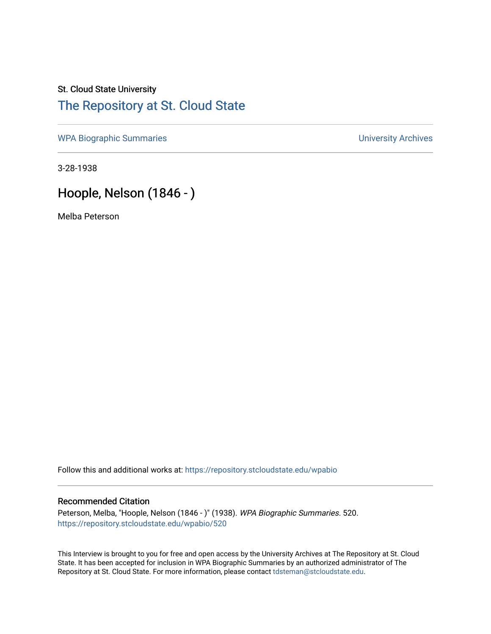## St. Cloud State University [The Repository at St. Cloud State](https://repository.stcloudstate.edu/)

[WPA Biographic Summaries](https://repository.stcloudstate.edu/wpabio) **WPA Biographic Summaries University Archives** 

3-28-1938

## Hoople, Nelson (1846 - )

Melba Peterson

Follow this and additional works at: [https://repository.stcloudstate.edu/wpabio](https://repository.stcloudstate.edu/wpabio?utm_source=repository.stcloudstate.edu%2Fwpabio%2F520&utm_medium=PDF&utm_campaign=PDFCoverPages) 

## Recommended Citation

Peterson, Melba, "Hoople, Nelson (1846 - )" (1938). WPA Biographic Summaries. 520. [https://repository.stcloudstate.edu/wpabio/520](https://repository.stcloudstate.edu/wpabio/520?utm_source=repository.stcloudstate.edu%2Fwpabio%2F520&utm_medium=PDF&utm_campaign=PDFCoverPages) 

This Interview is brought to you for free and open access by the University Archives at The Repository at St. Cloud State. It has been accepted for inclusion in WPA Biographic Summaries by an authorized administrator of The Repository at St. Cloud State. For more information, please contact [tdsteman@stcloudstate.edu.](mailto:tdsteman@stcloudstate.edu)